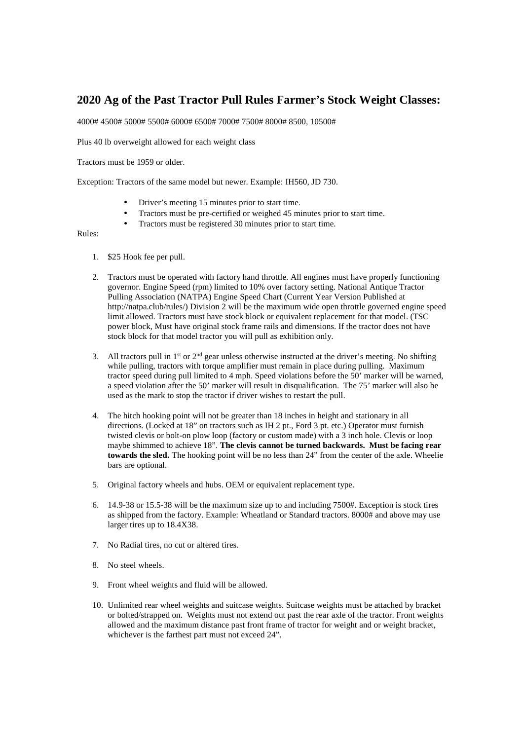## **2020 Ag of the Past Tractor Pull Rules Farmer's Stock Weight Classes:**

4000# 4500# 5000# 5500# 6000# 6500# 7000# 7500# 8000# 8500, 10500#

Plus 40 lb overweight allowed for each weight class

Tractors must be 1959 or older.

Exception: Tractors of the same model but newer. Example: IH560, JD 730.

- Driver's meeting 15 minutes prior to start time.
- Tractors must be pre-certified or weighed 45 minutes prior to start time.
- Tractors must be registered 30 minutes prior to start time.

## Rules:

- 1. \$25 Hook fee per pull.
- 2. Tractors must be operated with factory hand throttle. All engines must have properly functioning governor. Engine Speed (rpm) limited to 10% over factory setting. National Antique Tractor Pulling Association (NATPA) Engine Speed Chart (Current Year Version Published at http://natpa.club/rules/) Division 2 will be the maximum wide open throttle governed engine speed limit allowed. Tractors must have stock block or equivalent replacement for that model. (TSC power block, Must have original stock frame rails and dimensions. If the tractor does not have stock block for that model tractor you will pull as exhibition only.
- 3. All tractors pull in  $1<sup>st</sup>$  or  $2<sup>nd</sup>$  gear unless otherwise instructed at the driver's meeting. No shifting while pulling, tractors with torque amplifier must remain in place during pulling. Maximum tractor speed during pull limited to 4 mph. Speed violations before the 50' marker will be warned, a speed violation after the 50' marker will result in disqualification. The 75' marker will also be used as the mark to stop the tractor if driver wishes to restart the pull.
- 4. The hitch hooking point will not be greater than 18 inches in height and stationary in all directions. (Locked at 18" on tractors such as IH 2 pt., Ford 3 pt. etc.) Operator must furnish twisted clevis or bolt-on plow loop (factory or custom made) with a 3 inch hole. Clevis or loop maybe shimmed to achieve 18". **The clevis cannot be turned backwards. Must be facing rear towards the sled.** The hooking point will be no less than 24" from the center of the axle. Wheelie bars are optional.
- 5. Original factory wheels and hubs. OEM or equivalent replacement type.
- 6. 14.9-38 or 15.5-38 will be the maximum size up to and including 7500#. Exception is stock tires as shipped from the factory. Example: Wheatland or Standard tractors. 8000# and above may use larger tires up to 18.4X38.
- 7. No Radial tires, no cut or altered tires.
- 8. No steel wheels.
- 9. Front wheel weights and fluid will be allowed.
- 10. Unlimited rear wheel weights and suitcase weights. Suitcase weights must be attached by bracket or bolted/strapped on. Weights must not extend out past the rear axle of the tractor. Front weights allowed and the maximum distance past front frame of tractor for weight and or weight bracket, whichever is the farthest part must not exceed 24".